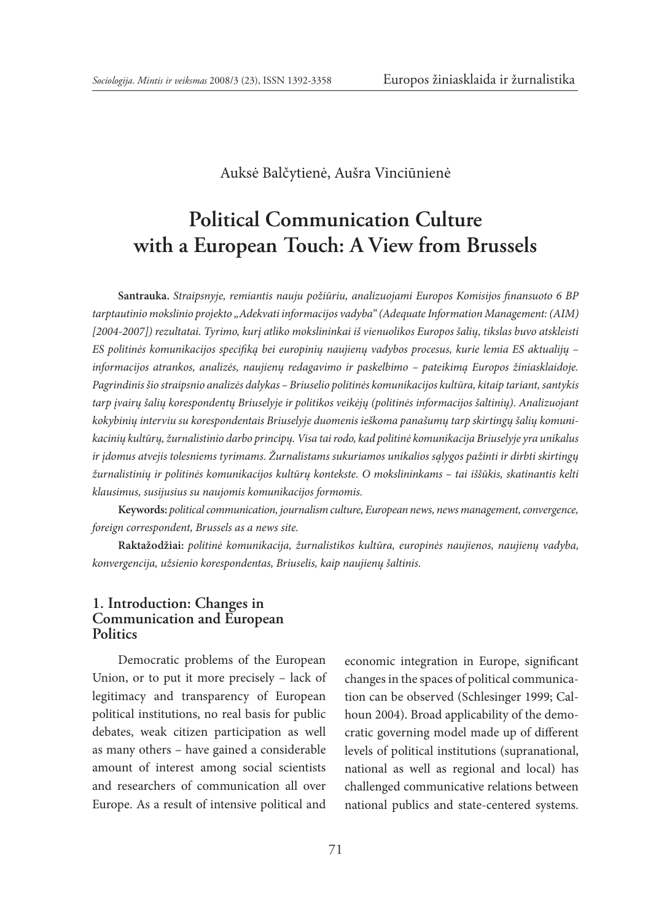Auksė Balčytienė, Aušra Vinciūnienė

# **Political Communication Culture with a European Touch: A View from Brussels**

**Santrauka.** *Straipsnyje, remiantis nauju požiūriu, analizuojami Europos Komisijos finansuoto 6 BP tarptautinio mokslinio projekto "Adekvati informacijos vadyba" (Adequate Information Management: (AIM) [2004-2007]) rezultatai. Tyrimo, kurį atliko mokslininkai iš vienuolikos Europos šalių, tikslas buvo atskleisti ES politinės komunikacijos specifiką bei europinių naujienų vadybos procesus, kurie lemia ES aktualijų – informacijos atrankos, analizės, naujienų redagavimo ir paskelbimo – pateikimą Europos žiniasklaidoje. Pagrindinis šio straipsnio analizės dalykas – Briuselio politinės komunikacijos kultūra, kitaip tariant, santykis tarp įvairų šalių korespondentų Briuselyje ir politikos veikėjų (politinės informacijos šaltinių). Analizuojant kokybinių interviu su korespondentais Briuselyje duomenis ieškoma panašumų tarp skirtingų šalių komunikacinių kultūrų, žurnalistinio darbo principų. Visa tai rodo, kad politinė komunikacija Briuselyje yra unikalus ir įdomus atvejis tolesniems tyrimams. Žurnalistams sukuriamos unikalios sąlygos pažinti ir dirbti skirtingų žurnalistinių ir politinės komunikacijos kultūrų kontekste. O mokslininkams – tai iššūkis, skatinantis kelti klausimus, susijusius su naujomis komunikacijos formomis.* 

**Keywords:** *political communication, journalism culture, European news, news management, convergence, foreign correspondent, Brussels as a news site.*

**Raktažodžiai:** *politinė komunikacija, žurnalistikos kultūra, europinės naujienos, naujienų vadyba, konvergencija, užsienio korespondentas, Briuselis, kaip naujienų šaltinis.*

## **1. Introduction: Changes in Communication and European Politics**

Democratic problems of the European Union, or to put it more precisely – lack of legitimacy and transparency of European political institutions, no real basis for public debates, weak citizen participation as well as many others – have gained a considerable amount of interest among social scientists and researchers of communication all over Europe. As a result of intensive political and economic integration in Europe, significant changes in the spaces of political communication can be observed (Schlesinger 1999; Calhoun 2004). Broad applicability of the democratic governing model made up of different levels of political institutions (supranational, national as well as regional and local) has challenged communicative relations between national publics and state-centered systems.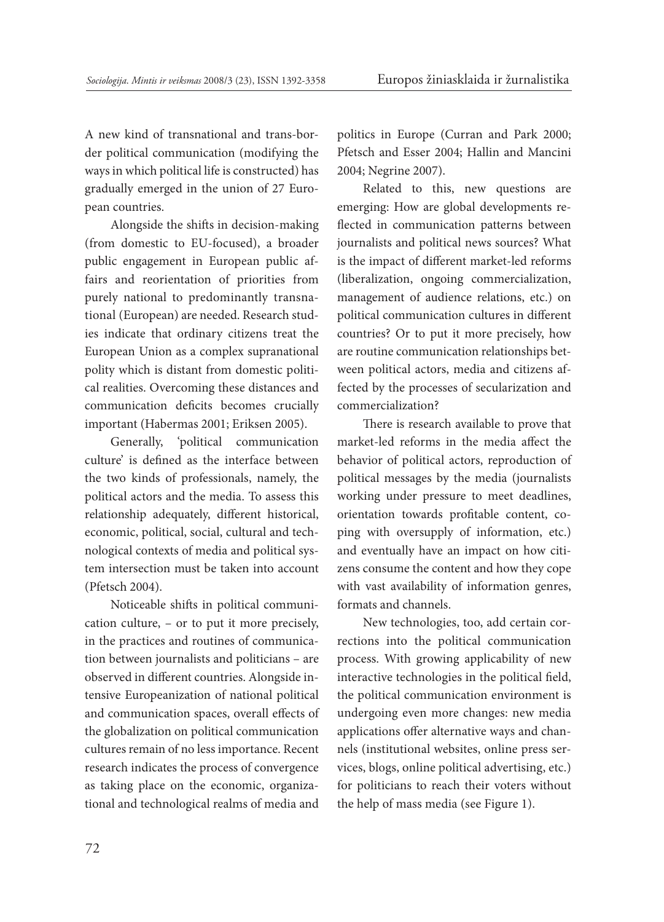A new kind of transnational and trans-border political communication (modifying the ways in which political life is constructed) has gradually emerged in the union of 27 European countries.

Alongside the shifts in decision-making (from domestic to EU-focused), a broader public engagement in European public affairs and reorientation of priorities from purely national to predominantly transnational (European) are needed. Research studies indicate that ordinary citizens treat the European Union as a complex supranational polity which is distant from domestic political realities. Overcoming these distances and communication deficits becomes crucially important (Habermas 2001; Eriksen 2005).

Generally, 'political communication culture' is defined as the interface between the two kinds of professionals, namely, the political actors and the media. To assess this relationship adequately, different historical, economic, political, social, cultural and technological contexts of media and political system intersection must be taken into account (Pfetsch 2004).

Noticeable shifts in political communication culture, – or to put it more precisely, in the practices and routines of communication between journalists and politicians – are observed in different countries. Alongside intensive Europeanization of national political and communication spaces, overall effects of the globalization on political communication cultures remain of no less importance. Recent research indicates the process of convergence as taking place on the economic, organizational and technological realms of media and politics in Europe (Curran and Park 2000; Pfetsch and Esser 2004; Hallin and Mancini 2004; Negrine 2007).

Related to this, new questions are emerging: How are global developments reflected in communication patterns between journalists and political news sources? What is the impact of different market-led reforms (liberalization, ongoing commercialization, management of audience relations, etc.) on political communication cultures in different countries? Or to put it more precisely, how are routine communication relationships between political actors, media and citizens affected by the processes of secularization and commercialization?

There is research available to prove that market-led reforms in the media affect the behavior of political actors, reproduction of political messages by the media (journalists working under pressure to meet deadlines, orientation towards profitable content, coping with oversupply of information, etc.) and eventually have an impact on how citizens consume the content and how they cope with vast availability of information genres, formats and channels.

New technologies, too, add certain corrections into the political communication process. With growing applicability of new interactive technologies in the political field, the political communication environment is undergoing even more changes: new media applications offer alternative ways and channels (institutional websites, online press services, blogs, online political advertising, etc.) for politicians to reach their voters without the help of mass media (see Figure 1).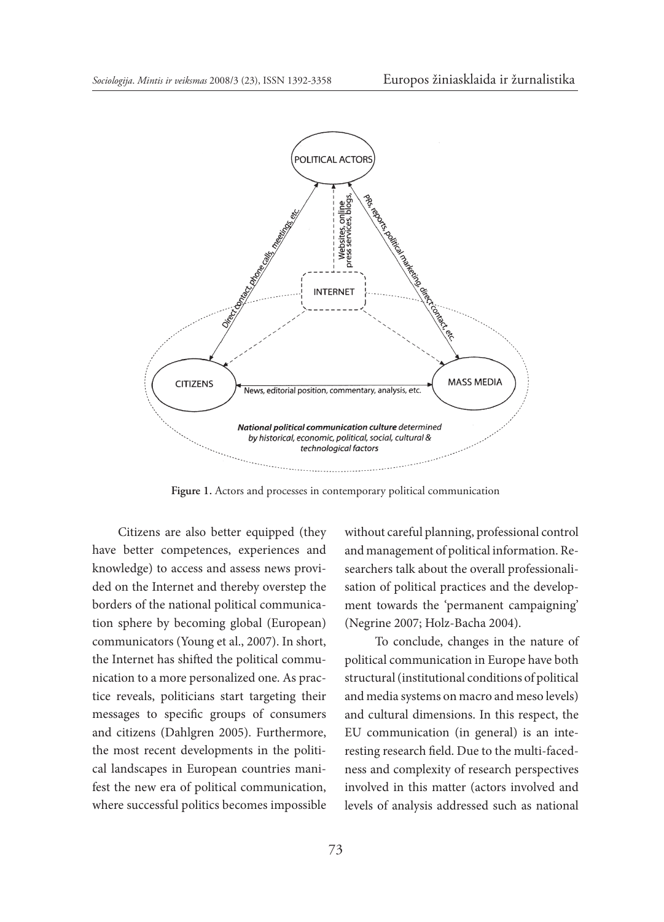

**Figure 1.** Actors and processes in contemporary political communication

Citizens are also better equipped (they have better competences, experiences and knowledge) to access and assess news provided on the Internet and thereby overstep the borders of the national political communication sphere by becoming global (European) communicators (Young et al., 2007). In short, the Internet has shifted the political communication to a more personalized one. As practice reveals, politicians start targeting their messages to specific groups of consumers and citizens (Dahlgren 2005). Furthermore, the most recent developments in the political landscapes in European countries manifest the new era of political communication, where successful politics becomes impossible without careful planning, professional control and management of political information. Researchers talk about the overall professionalisation of political practices and the development towards the 'permanent campaigning' (Negrine 2007; Holz-Bacha 2004).

 To conclude, changes in the nature of political communication in Europe have both structural (institutional conditions of political and media systems on macro and meso levels) and cultural dimensions. In this respect, the EU communication (in general) is an interesting research field. Due to the multi-facedness and complexity of research perspectives involved in this matter (actors involved and levels of analysis addressed such as national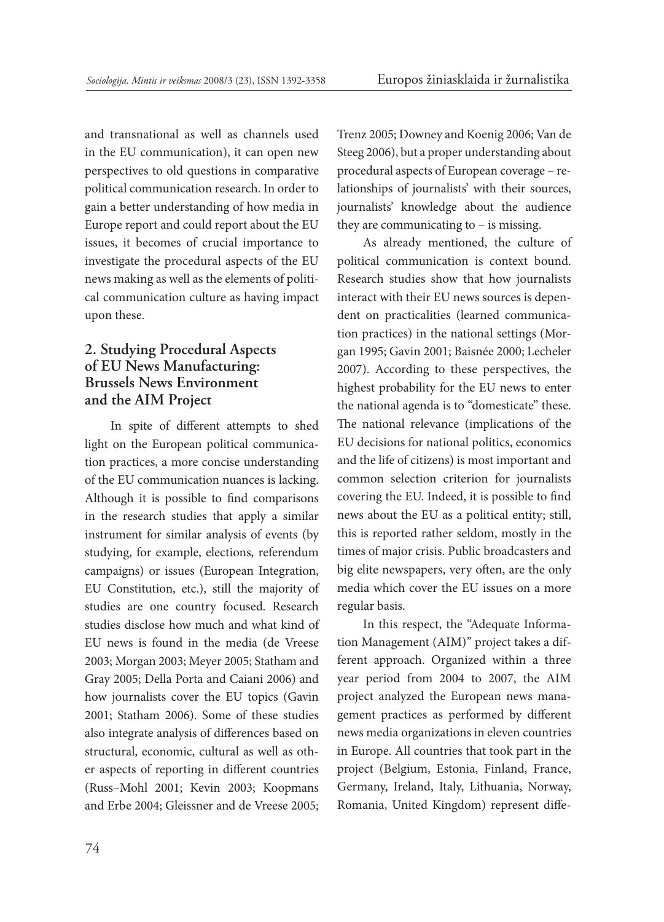and transnational as well as channels used in the EU communication), it can open new perspectives to old questions in comparative political communication research. In order to gain a better understanding of how media in Europe report and could report about the EU issues, it becomes of crucial importance to investigate the procedural aspects of the EU news making as well as the elements of political communication culture as having impact upon these.

# **2. Studying Procedural Aspects of EU News Manufacturing: Brussels News Environment and the AIM Project**

In spite of different attempts to shed light on the European political communication practices, a more concise understanding of the EU communication nuances is lacking. Although it is possible to find comparisons in the research studies that apply a similar instrument for similar analysis of events (by studying, for example, elections, referendum campaigns) or issues (European Integration, EU Constitution, etc.), still the majority of studies are one country focused. Research studies disclose how much and what kind of EU news is found in the media (de Vreese 2003; Morgan 2003; Meyer 2005; Statham and Gray 2005; Della Porta and Caiani 2006) and how journalists cover the EU topics (Gavin 2001; Statham 2006). Some of these studies also integrate analysis of differences based on structural, economic, cultural as well as other aspects of reporting in different countries (Russ–Mohl 2001; Kevin 2003; Koopmans and Erbe 2004; Gleissner and de Vreese 2005; Trenz 2005; Downey and Koenig 2006; Van de Steeg 2006), but a proper understanding about procedural aspects of European coverage – relationships of journalists' with their sources, journalists' knowledge about the audience they are communicating to – is missing.

As already mentioned, the culture of political communication is context bound. Research studies show that how journalists interact with their EU news sources is dependent on practicalities (learned communication practices) in the national settings (Morgan 1995; Gavin 2001; Baisnée 2000; Lecheler 2007). According to these perspectives, the highest probability for the EU news to enter the national agenda is to "domesticate" these. The national relevance (implications of the EU decisions for national politics, economics and the life of citizens) is most important and common selection criterion for journalists covering the EU. Indeed, it is possible to find news about the EU as a political entity; still, this is reported rather seldom, mostly in the times of major crisis. Public broadcasters and big elite newspapers, very often, are the only media which cover the EU issues on a more regular basis.

In this respect, the "Adequate Information Management (AIM)" project takes a different approach. Organized within a three year period from 2004 to 2007, the AIM project analyzed the European news management practices as performed by different news media organizations in eleven countries in Europe. All countries that took part in the project (Belgium, Estonia, Finland, France, Germany, Ireland, Italy, Lithuania, Norway, Romania, United Kingdom) represent diffe-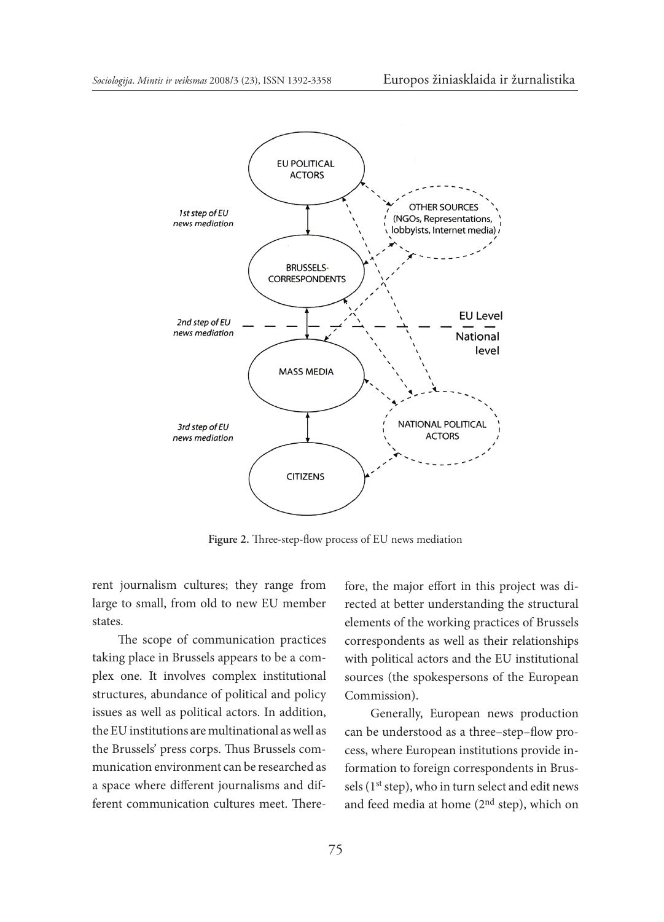

**Figure 2.** Three-step-flow process of EU news mediation

rent journalism cultures; they range from large to small, from old to new EU member states.

The scope of communication practices taking place in Brussels appears to be a complex one. It involves complex institutional structures, abundance of political and policy issues as well as political actors. In addition, the EU institutions are multinational as well as the Brussels' press corps. Thus Brussels communication environment can be researched as a space where different journalisms and different communication cultures meet. Therefore, the major effort in this project was directed at better understanding the structural elements of the working practices of Brussels correspondents as well as their relationships with political actors and the EU institutional sources (the spokespersons of the European Commission).

Generally, European news production can be understood as a three–step–flow process, where European institutions provide information to foreign correspondents in Brussels (1<sup>st</sup> step), who in turn select and edit news and feed media at home (2nd step), which on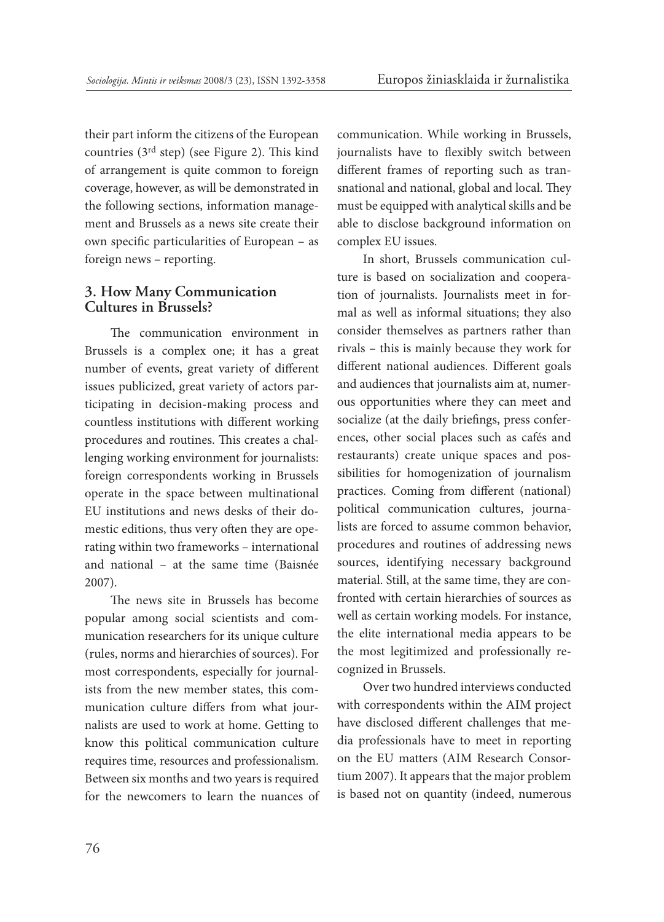their part inform the citizens of the European countries (3rd step) (see Figure 2). This kind of arrangement is quite common to foreign coverage, however, as will be demonstrated in the following sections, information management and Brussels as a news site create their own specific particularities of European – as foreign news – reporting.

## **3. How Many Communication Cultures in Brussels?**

The communication environment in Brussels is a complex one; it has a great number of events, great variety of different issues publicized, great variety of actors participating in decision-making process and countless institutions with different working procedures and routines. This creates a challenging working environment for journalists: foreign correspondents working in Brussels operate in the space between multinational EU institutions and news desks of their domestic editions, thus very often they are operating within two frameworks – international and national – at the same time (Baisnée 2007).

The news site in Brussels has become popular among social scientists and communication researchers for its unique culture (rules, norms and hierarchies of sources). For most correspondents, especially for journalists from the new member states, this communication culture differs from what journalists are used to work at home. Getting to know this political communication culture requires time, resources and professionalism. Between six months and two years is required for the newcomers to learn the nuances of communication. While working in Brussels, journalists have to flexibly switch between different frames of reporting such as transnational and national, global and local. They must be equipped with analytical skills and be able to disclose background information on complex EU issues.

In short, Brussels communication culture is based on socialization and cooperation of journalists. Journalists meet in formal as well as informal situations; they also consider themselves as partners rather than rivals – this is mainly because they work for different national audiences. Different goals and audiences that journalists aim at, numerous opportunities where they can meet and socialize (at the daily briefings, press conferences, other social places such as cafés and restaurants) create unique spaces and possibilities for homogenization of journalism practices. Coming from different (national) political communication cultures, journalists are forced to assume common behavior, procedures and routines of addressing news sources, identifying necessary background material. Still, at the same time, they are confronted with certain hierarchies of sources as well as certain working models. For instance, the elite international media appears to be the most legitimized and professionally recognized in Brussels.

Over two hundred interviews conducted with correspondents within the AIM project have disclosed different challenges that media professionals have to meet in reporting on the EU matters (AIM Research Consortium 2007). It appears that the major problem is based not on quantity (indeed, numerous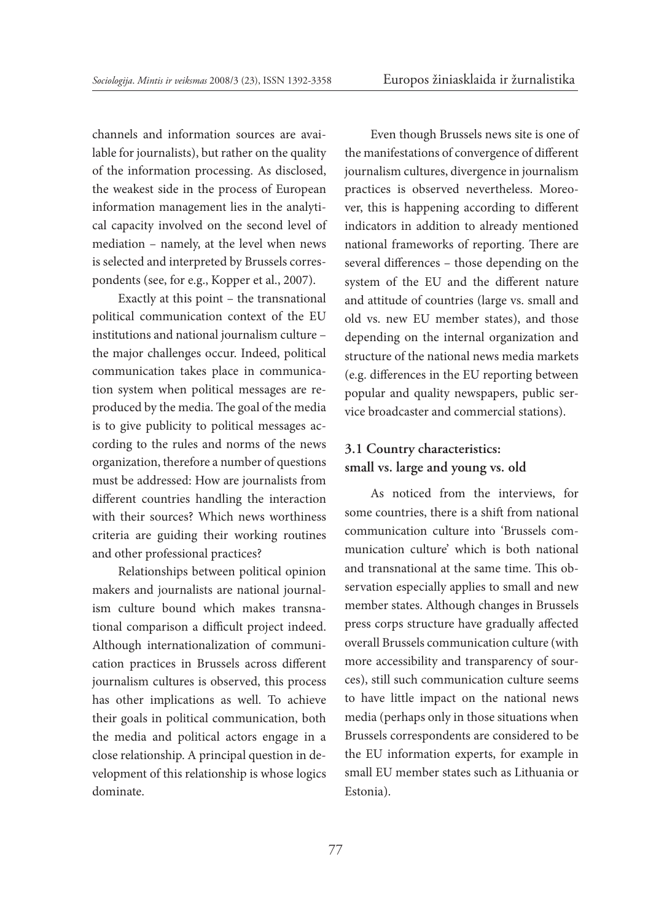channels and information sources are available for journalists), but rather on the quality of the information processing. As disclosed, the weakest side in the process of European information management lies in the analytical capacity involved on the second level of mediation – namely, at the level when news is selected and interpreted by Brussels correspondents (see, for e.g., Kopper et al., 2007).

Exactly at this point – the transnational political communication context of the EU institutions and national journalism culture – the major challenges occur. Indeed, political communication takes place in communication system when political messages are reproduced by the media. The goal of the media is to give publicity to political messages according to the rules and norms of the news organization, therefore a number of questions must be addressed: How are journalists from different countries handling the interaction with their sources? Which news worthiness criteria are guiding their working routines and other professional practices?

Relationships between political opinion makers and journalists are national journalism culture bound which makes transnational comparison a difficult project indeed. Although internationalization of communication practices in Brussels across different journalism cultures is observed, this process has other implications as well. To achieve their goals in political communication, both the media and political actors engage in a close relationship. A principal question in development of this relationship is whose logics dominate.

Even though Brussels news site is one of the manifestations of convergence of different journalism cultures, divergence in journalism practices is observed nevertheless. Moreover, this is happening according to different indicators in addition to already mentioned national frameworks of reporting. There are several differences – those depending on the system of the EU and the different nature and attitude of countries (large vs. small and old vs. new EU member states), and those depending on the internal organization and structure of the national news media markets (e.g. differences in the EU reporting between popular and quality newspapers, public service broadcaster and commercial stations).

# **3.1 Country characteristics: small vs. large and young vs. old**

As noticed from the interviews, for some countries, there is a shift from national communication culture into 'Brussels communication culture' which is both national and transnational at the same time. This observation especially applies to small and new member states. Although changes in Brussels press corps structure have gradually affected overall Brussels communication culture (with more accessibility and transparency of sources), still such communication culture seems to have little impact on the national news media (perhaps only in those situations when Brussels correspondents are considered to be the EU information experts, for example in small EU member states such as Lithuania or Estonia).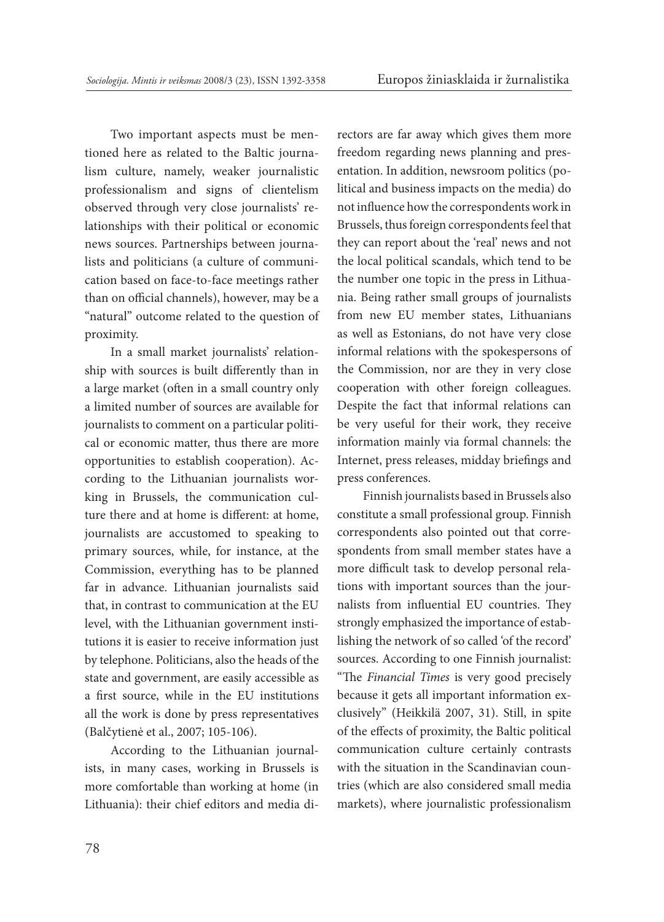Two important aspects must be mentioned here as related to the Baltic journalism culture, namely, weaker journalistic professionalism and signs of clientelism observed through very close journalists' relationships with their political or economic news sources. Partnerships between journalists and politicians (a culture of communication based on face-to-face meetings rather than on official channels), however, may be a "natural" outcome related to the question of proximity.

In a small market journalists' relationship with sources is built differently than in a large market (often in a small country only a limited number of sources are available for journalists to comment on a particular political or economic matter, thus there are more opportunities to establish cooperation). According to the Lithuanian journalists working in Brussels, the communication culture there and at home is different: at home, journalists are accustomed to speaking to primary sources, while, for instance, at the Commission, everything has to be planned far in advance. Lithuanian journalists said that, in contrast to communication at the EU level, with the Lithuanian government institutions it is easier to receive information just by telephone. Politicians, also the heads of the state and government, are easily accessible as a first source, while in the EU institutions all the work is done by press representatives (Balčytienė et al., 2007; 105-106).

According to the Lithuanian journalists, in many cases, working in Brussels is more comfortable than working at home (in Lithuania): their chief editors and media directors are far away which gives them more freedom regarding news planning and presentation. In addition, newsroom politics (political and business impacts on the media) do not influence how the correspondents work in Brussels, thus foreign correspondents feel that they can report about the 'real' news and not the local political scandals, which tend to be the number one topic in the press in Lithuania. Being rather small groups of journalists from new EU member states, Lithuanians as well as Estonians, do not have very close informal relations with the spokespersons of the Commission, nor are they in very close cooperation with other foreign colleagues. Despite the fact that informal relations can be very useful for their work, they receive information mainly via formal channels: the Internet, press releases, midday briefings and press conferences.

Finnish journalists based in Brussels also constitute a small professional group. Finnish correspondents also pointed out that correspondents from small member states have a more difficult task to develop personal relations with important sources than the journalists from influential EU countries. They strongly emphasized the importance of establishing the network of so called 'of the record' sources. According to one Finnish journalist: "The *Financial Times* is very good precisely because it gets all important information exclusively" (Heikkilä 2007, 31). Still, in spite of the effects of proximity, the Baltic political communication culture certainly contrasts with the situation in the Scandinavian countries (which are also considered small media markets), where journalistic professionalism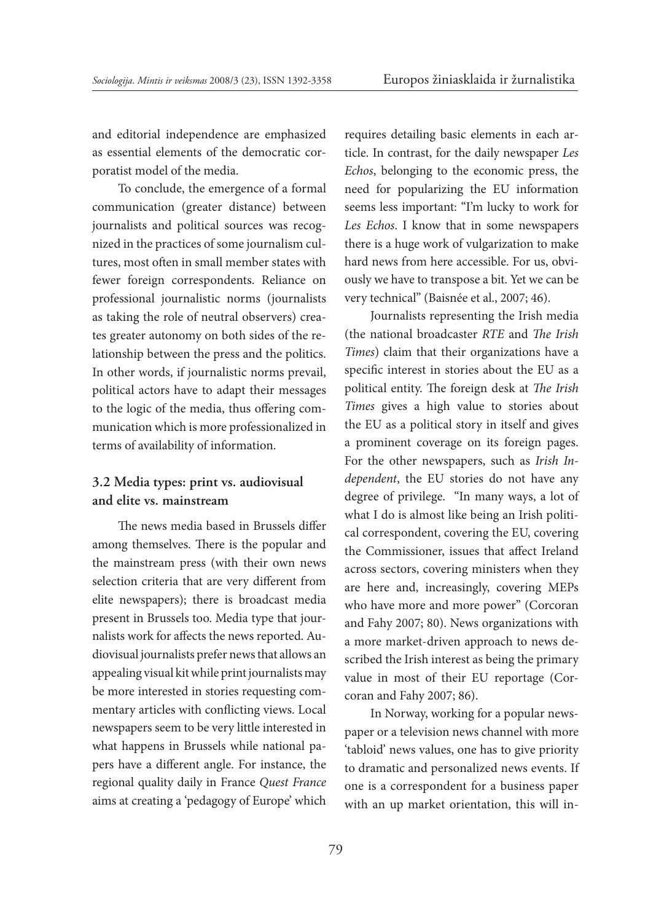and editorial independence are emphasized as essential elements of the democratic corporatist model of the media.

To conclude, the emergence of a formal communication (greater distance) between journalists and political sources was recognized in the practices of some journalism cultures, most often in small member states with fewer foreign correspondents. Reliance on professional journalistic norms (journalists as taking the role of neutral observers) creates greater autonomy on both sides of the relationship between the press and the politics. In other words, if journalistic norms prevail, political actors have to adapt their messages to the logic of the media, thus offering communication which is more professionalized in terms of availability of information.

## **3.2 Media types: print vs. audiovisual and elite vs. mainstream**

The news media based in Brussels differ among themselves. There is the popular and the mainstream press (with their own news selection criteria that are very different from elite newspapers); there is broadcast media present in Brussels too. Media type that journalists work for affects the news reported. Audiovisual journalists prefer news that allows an appealing visual kit while print journalists may be more interested in stories requesting commentary articles with conflicting views. Local newspapers seem to be very little interested in what happens in Brussels while national papers have a different angle. For instance, the regional quality daily in France *Quest France* aims at creating a 'pedagogy of Europe' which requires detailing basic elements in each article. In contrast, for the daily newspaper *Les Echos*, belonging to the economic press, the need for popularizing the EU information seems less important: "I'm lucky to work for *Les Echos*. I know that in some newspapers there is a huge work of vulgarization to make hard news from here accessible. For us, obviously we have to transpose a bit. Yet we can be very technical" (Baisnée et al., 2007; 46).

Journalists representing the Irish media (the national broadcaster *RTE* and *The Irish Times*) claim that their organizations have a specific interest in stories about the EU as a political entity. The foreign desk at *The Irish Times* gives a high value to stories about the EU as a political story in itself and gives a prominent coverage on its foreign pages. For the other newspapers, such as *Irish Independent*, the EU stories do not have any degree of privilege. "In many ways, a lot of what I do is almost like being an Irish political correspondent, covering the EU, covering the Commissioner, issues that affect Ireland across sectors, covering ministers when they are here and, increasingly, covering MEPs who have more and more power" (Corcoran and Fahy 2007; 80). News organizations with a more market-driven approach to news described the Irish interest as being the primary value in most of their EU reportage (Corcoran and Fahy 2007; 86).

In Norway, working for a popular newspaper or a television news channel with more 'tabloid' news values, one has to give priority to dramatic and personalized news events. If one is a correspondent for a business paper with an up market orientation, this will in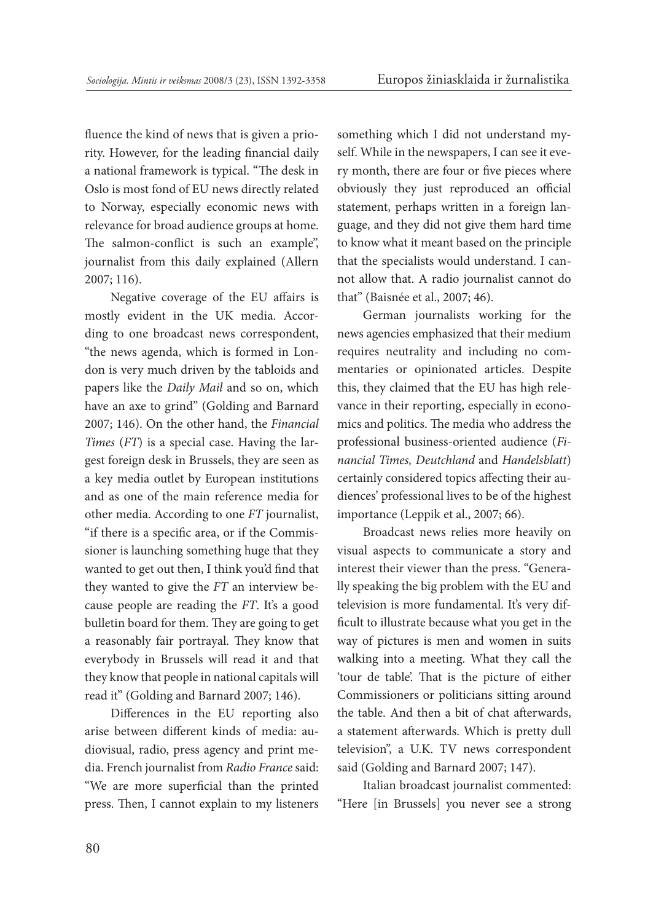fluence the kind of news that is given a priority. However, for the leading financial daily a national framework is typical. "The desk in Oslo is most fond of EU news directly related to Norway, especially economic news with relevance for broad audience groups at home. The salmon-conflict is such an example", journalist from this daily explained (Allern 2007; 116).

Negative coverage of the EU affairs is mostly evident in the UK media. According to one broadcast news correspondent, "the news agenda, which is formed in London is very much driven by the tabloids and papers like the *Daily Mail* and so on, which have an axe to grind" (Golding and Barnard 2007; 146). On the other hand, the *Financial Times* (*FT*) is a special case. Having the largest foreign desk in Brussels, they are seen as a key media outlet by European institutions and as one of the main reference media for other media. According to one *FT* journalist, "if there is a specific area, or if the Commissioner is launching something huge that they wanted to get out then, I think you'd find that they wanted to give the *FT* an interview because people are reading the *FT*. It's a good bulletin board for them. They are going to get a reasonably fair portrayal. They know that everybody in Brussels will read it and that they know that people in national capitals will read it" (Golding and Barnard 2007; 146).

Differences in the EU reporting also arise between different kinds of media: audiovisual, radio, press agency and print media. French journalist from *Radio France* said: "We are more superficial than the printed press. Then, I cannot explain to my listeners something which I did not understand myself. While in the newspapers, I can see it every month, there are four or five pieces where obviously they just reproduced an official statement, perhaps written in a foreign language, and they did not give them hard time to know what it meant based on the principle that the specialists would understand. I cannot allow that. A radio journalist cannot do that" (Baisnée et al., 2007; 46).

German journalists working for the news agencies emphasized that their medium requires neutrality and including no commentaries or opinionated articles. Despite this, they claimed that the EU has high relevance in their reporting, especially in economics and politics. The media who address the professional business-oriented audience (*Financial Times, Deutchland* and *Handelsblatt*) certainly considered topics affecting their audiences' professional lives to be of the highest importance (Leppik et al., 2007; 66).

Broadcast news relies more heavily on visual aspects to communicate a story and interest their viewer than the press. "Generally speaking the big problem with the EU and television is more fundamental. It's very difficult to illustrate because what you get in the way of pictures is men and women in suits walking into a meeting. What they call the 'tour de table'. That is the picture of either Commissioners or politicians sitting around the table. And then a bit of chat afterwards, a statement afterwards. Which is pretty dull television", a U.K. TV news correspondent said (Golding and Barnard 2007; 147).

Italian broadcast journalist commented: "Here [in Brussels] you never see a strong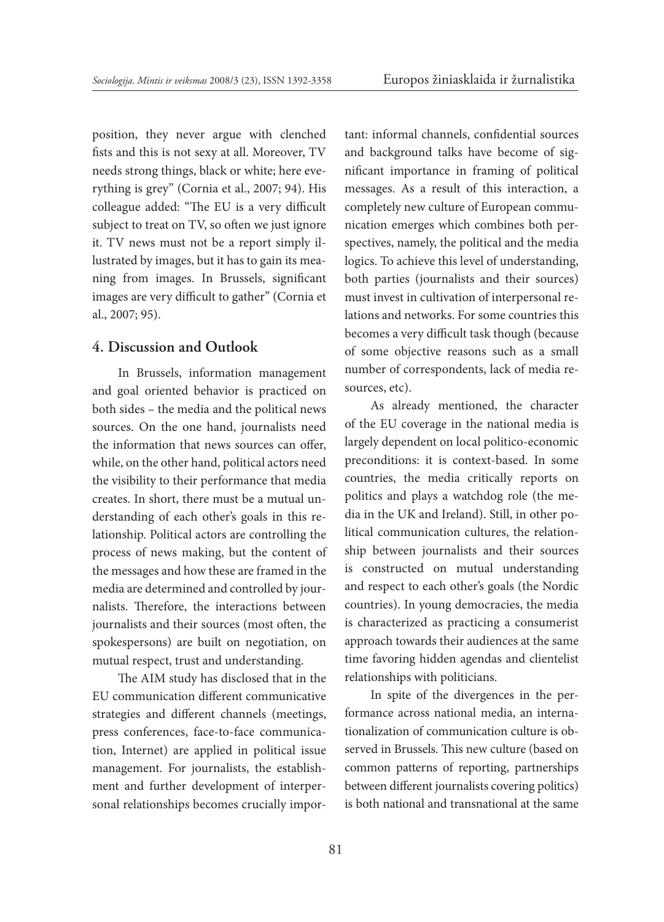position, they never argue with clenched fists and this is not sexy at all. Moreover, TV needs strong things, black or white; here everything is grey" (Cornia et al., 2007; 94). His colleague added: "The EU is a very difficult subject to treat on TV, so often we just ignore it. TV news must not be a report simply illustrated by images, but it has to gain its meaning from images. In Brussels, significant images are very difficult to gather" (Cornia et al., 2007; 95).

### **4. Discussion and Outlook**

In Brussels, information management and goal oriented behavior is practiced on both sides – the media and the political news sources. On the one hand, journalists need the information that news sources can offer, while, on the other hand, political actors need the visibility to their performance that media creates. In short, there must be a mutual understanding of each other's goals in this relationship. Political actors are controlling the process of news making, but the content of the messages and how these are framed in the media are determined and controlled by journalists. Therefore, the interactions between journalists and their sources (most often, the spokespersons) are built on negotiation, on mutual respect, trust and understanding.

The AIM study has disclosed that in the EU communication different communicative strategies and different channels (meetings, press conferences, face-to-face communication, Internet) are applied in political issue management. For journalists, the establishment and further development of interpersonal relationships becomes crucially important: informal channels, confidential sources and background talks have become of significant importance in framing of political messages. As a result of this interaction, a completely new culture of European communication emerges which combines both perspectives, namely, the political and the media logics. To achieve this level of understanding, both parties (journalists and their sources) must invest in cultivation of interpersonal relations and networks. For some countries this becomes a very difficult task though (because of some objective reasons such as a small number of correspondents, lack of media resources, etc).

As already mentioned, the character of the EU coverage in the national media is largely dependent on local politico-economic preconditions: it is context-based. In some countries, the media critically reports on politics and plays a watchdog role (the media in the UK and Ireland). Still, in other political communication cultures, the relationship between journalists and their sources is constructed on mutual understanding and respect to each other's goals (the Nordic countries). In young democracies, the media is characterized as practicing a consumerist approach towards their audiences at the same time favoring hidden agendas and clientelist relationships with politicians.

In spite of the divergences in the performance across national media, an internationalization of communication culture is observed in Brussels. This new culture (based on common patterns of reporting, partnerships between different journalists covering politics) is both national and transnational at the same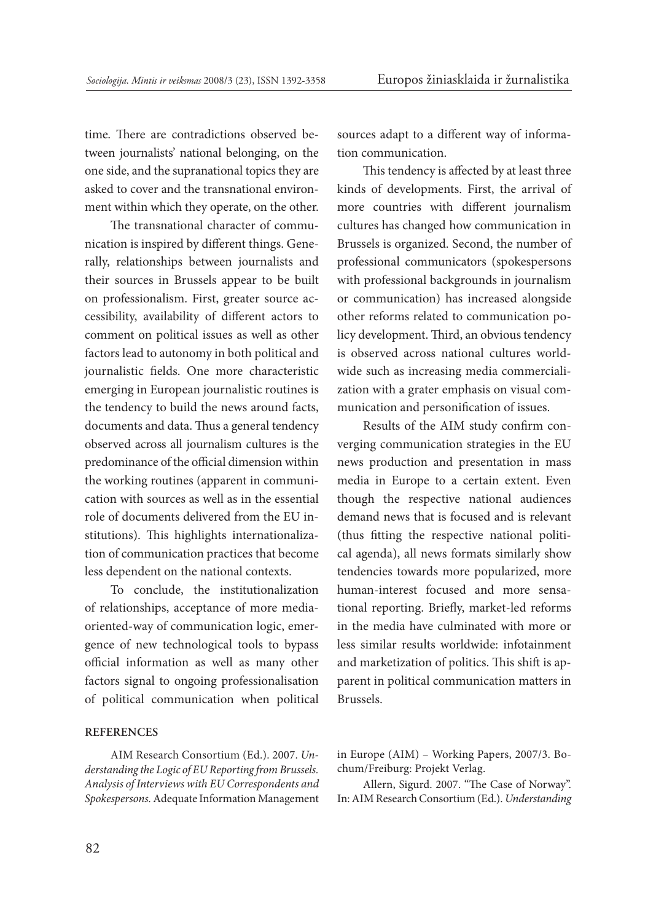time. There are contradictions observed between journalists' national belonging, on the one side, and the supranational topics they are asked to cover and the transnational environment within which they operate, on the other.

The transnational character of communication is inspired by different things. Generally, relationships between journalists and their sources in Brussels appear to be built on professionalism. First, greater source accessibility, availability of different actors to comment on political issues as well as other factors lead to autonomy in both political and journalistic fields. One more characteristic emerging in European journalistic routines is the tendency to build the news around facts, documents and data. Thus a general tendency observed across all journalism cultures is the predominance of the official dimension within the working routines (apparent in communication with sources as well as in the essential role of documents delivered from the EU institutions). This highlights internationalization of communication practices that become less dependent on the national contexts.

To conclude, the institutionalization of relationships, acceptance of more mediaoriented-way of communication logic, emergence of new technological tools to bypass official information as well as many other factors signal to ongoing professionalisation of political communication when political

#### **References**

AIM Research Consortium (Ed.). 2007. *Understanding the Logic of EU Reporting from Brussels. Analysis of Interviews with EU Correspondents and Spokespersons.* Adequate Information Management sources adapt to a different way of information communication.

This tendency is affected by at least three kinds of developments. First, the arrival of more countries with different journalism cultures has changed how communication in Brussels is organized. Second, the number of professional communicators (spokespersons with professional backgrounds in journalism or communication) has increased alongside other reforms related to communication policy development. Third, an obvious tendency is observed across national cultures worldwide such as increasing media commercialization with a grater emphasis on visual communication and personification of issues.

Results of the AIM study confirm converging communication strategies in the EU news production and presentation in mass media in Europe to a certain extent. Even though the respective national audiences demand news that is focused and is relevant (thus fitting the respective national political agenda), all news formats similarly show tendencies towards more popularized, more human-interest focused and more sensational reporting. Briefly, market-led reforms in the media have culminated with more or less similar results worldwide: infotainment and marketization of politics. This shift is apparent in political communication matters in Brussels.

Allern, Sigurd. 2007. "The Case of Norway". In: AIM Research Consortium (Ed.). *Understanding* 

in Europe (AIM) – Working Papers, 2007/3. Bochum/Freiburg: Projekt Verlag.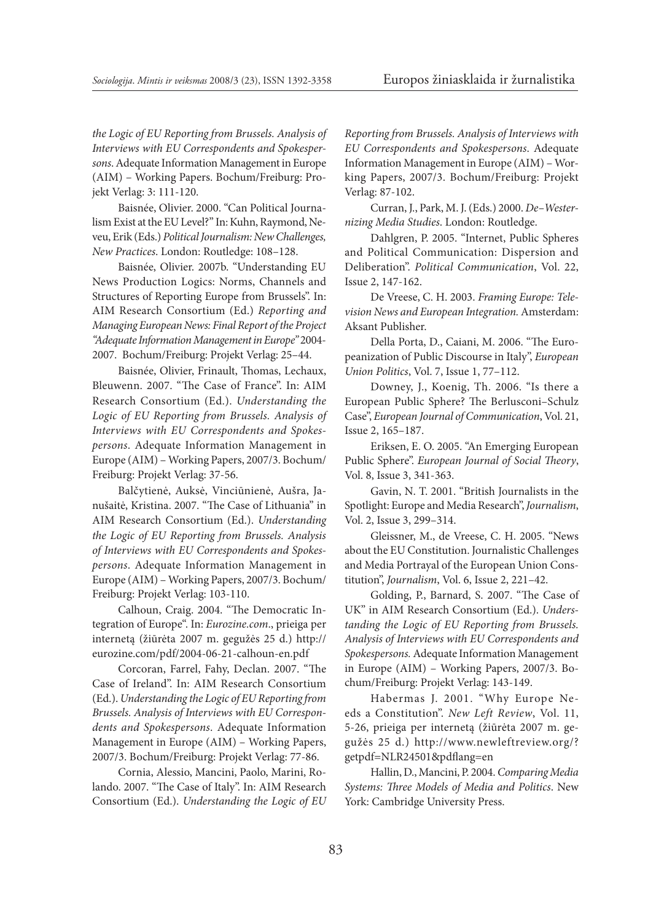*the Logic of EU Reporting from Brussels. Analysis of Interviews with EU Correspondents and Spokespersons*. Adequate Information Management in Europe (AIM) – Working Papers. Bochum/Freiburg: Projekt Verlag: 3: 111-120.

Baisnée, Olivier. 2000. "Can Political Journalism Exist at the EU Level?" In: Kuhn, Raymond, Neveu, Erik (Eds.) *Political Journalism: New Challenges, New Practices*. London: Routledge: 108–128.

Baisnée, Olivier. 2007b. "Understanding EU News Production Logics: Norms, Channels and Structures of Reporting Europe from Brussels". In: AIM Research Consortium (Ed.) *Reporting and Managing European News: Final Report of the Project "Adequate Information Management in Europe"* 2004- 2007. Bochum/Freiburg: Projekt Verlag: 25–44.

Baisnée, Olivier, Frinault, Thomas, Lechaux, Bleuwenn. 2007. "The Case of France". In: AIM Research Consortium (Ed.). *Understanding the Logic of EU Reporting from Brussels. Analysis of Interviews with EU Correspondents and Spokespersons*. Adequate Information Management in Europe (AIM) – Working Papers, 2007/3. Bochum/ Freiburg: Projekt Verlag: 37-56.

Balčytienė, Auksė, Vinciūnienė, Aušra, Janušaitė, Kristina. 2007. "The Case of Lithuania" in AIM Research Consortium (Ed.). *Understanding the Logic of EU Reporting from Brussels. Analysis of Interviews with EU Correspondents and Spokespersons*. Adequate Information Management in Europe (AIM) – Working Papers, 2007/3. Bochum/ Freiburg: Projekt Verlag: 103-110.

Calhoun, Craig. 2004. "The Democratic Integration of Europe". In: *Eurozine.com*., prieiga per internetą (žiūrėta 2007 m. gegužės 25 d.) http:// eurozine.com/pdf/2004-06-21-calhoun-en.pdf

Corcoran, Farrel, Fahy, Declan. 2007. "The Case of Ireland". In: AIM Research Consortium (Ed.). *Understanding the Logic of EU Reporting from Brussels. Analysis of Interviews with EU Correspondents and Spokespersons*. Adequate Information Management in Europe (AIM) – Working Papers, 2007/3. Bochum/Freiburg: Projekt Verlag: 77-86.

Cornia, Alessio, Mancini, Paolo, Marini, Rolando. 2007. "The Case of Italy". In: AIM Research Consortium (Ed.). *Understanding the Logic of EU*  *Reporting from Brussels. Analysis of Interviews with EU Correspondents and Spokespersons*. Adequate Information Management in Europe (AIM) – Working Papers, 2007/3. Bochum/Freiburg: Projekt Verlag: 87-102.

Curran, J., Park, M. J. (Eds.) 2000. *De–Westernizing Media Studies*. London: Routledge.

Dahlgren, P. 2005. "Internet, Public Spheres and Political Communication: Dispersion and Deliberation". *Political Communication*, Vol. 22, Issue 2, 147-162.

De Vreese, C. H. 2003. *Framing Europe: Television News and European Integration.* Amsterdam: Aksant Publisher.

Della Porta, D., Caiani, M. 2006. "The Europeanization of Public Discourse in Italy", *European Union Politics*, Vol. 7, Issue 1, 77–112.

Downey, J., Koenig, Th. 2006. "Is there a European Public Sphere? The Berlusconi–Schulz Case", *European Journal of Communication*, Vol. 21, Issue 2, 165–187.

Eriksen, E. O. 2005. "An Emerging European Public Sphere". *European Journal of Social Theory*, Vol. 8, Issue 3, 341-363.

Gavin, N. T. 2001. "British Journalists in the Spotlight: Europe and Media Research", *Journalism*, Vol. 2, Issue 3, 299–314.

Gleissner, M., de Vreese, C. H. 2005. "News about the EU Constitution. Journalistic Challenges and Media Portrayal of the European Union Constitution", *Journalism*, Vol. 6, Issue 2, 221–42.

Golding, P., Barnard, S. 2007. "The Case of UK" in AIM Research Consortium (Ed.). *Understanding the Logic of EU Reporting from Brussels. Analysis of Interviews with EU Correspondents and Spokespersons.* Adequate Information Management in Europe (AIM) – Working Papers, 2007/3. Bochum/Freiburg: Projekt Verlag: 143-149.

Habermas J. 2001. "Why Europe Needs a Constitution". *New Left Review*, Vol. 11, 5-26, prieiga per internetą (žiūrėta 2007 m. gegužės 25 d.) http://www.newleftreview.org/? getpdf=NLR24501&pdflang=en

Hallin, D., Mancini, P. 2004. *Comparing Media Systems: Three Models of Media and Politics*. New York: Cambridge University Press.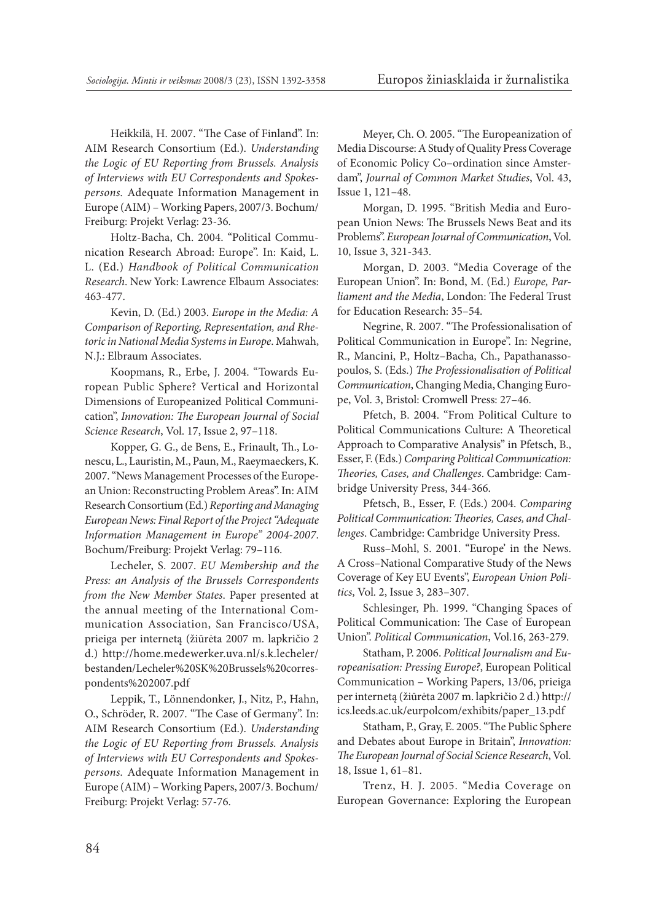Heikkilä, H. 2007. "The Case of Finland". In: AIM Research Consortium (Ed.). *Understanding the Logic of EU Reporting from Brussels. Analysis of Interviews with EU Correspondents and Spokespersons.* Adequate Information Management in Europe (AIM) – Working Papers, 2007/3. Bochum/ Freiburg: Projekt Verlag: 23-36.

Holtz-Bacha, Ch. 2004. "Political Communication Research Abroad: Europe". In: Kaid, L. L. (Ed.) *Handbook of Political Communication Research*. New York: Lawrence Elbaum Associates: 463-477.

Kevin, D. (Ed.) 2003. *Europe in the Media: A Comparison of Reporting, Representation, and Rhetoric in National Media Systems in Europe*. Mahwah, N.J.: Elbraum Associates.

Koopmans, R., Erbe, J. 2004. "Towards European Public Sphere? Vertical and Horizontal Dimensions of Europeanized Political Communication", *Innovation: The European Journal of Social Science Research*, Vol. 17, Issue 2, 97–118.

Kopper, G. G., de Bens, E., Frinault, Th., Lonescu, L., Lauristin, M., Paun, M., Raeymaeckers, K. 2007. "News Management Processes of the European Union: Reconstructing Problem Areas". In: AIM Research Consortium (Ed.) *Reporting and Managing European News: Final Report of the Project "Adequate Information Management in Europe" 2004-2007*. Bochum/Freiburg: Projekt Verlag: 79–116.

Lecheler, S. 2007. *EU Membership and the Press: an Analysis of the Brussels Correspondents from the New Member States*. Paper presented at the annual meeting of the International Communication Association, San Francisco/USA, prieiga per internetą (žiūrėta 2007 m. lapkričio 2 d.) http://home.medewerker.uva.nl/s.k.lecheler/ bestanden/Lecheler%20SK%20Brussels%20correspondents%202007.pdf

Leppik, T., Lönnendonker, J., Nitz, P., Hahn, O., Schröder, R. 2007. "The Case of Germany". In: AIM Research Consortium (Ed.). *Understanding the Logic of EU Reporting from Brussels. Analysis of Interviews with EU Correspondents and Spokespersons.* Adequate Information Management in Europe (AIM) – Working Papers, 2007/3. Bochum/ Freiburg: Projekt Verlag: 57-76.

Meyer, Ch. O. 2005. "The Europeanization of Media Discourse: A Study of Quality Press Coverage of Economic Policy Co–ordination since Amsterdam", *Journal of Common Market Studies*, Vol. 43, Issue 1, 121–48.

Morgan, D. 1995. "British Media and European Union News: The Brussels News Beat and its Problems". *European Journal of Communication*, Vol. 10, Issue 3, 321-343.

Morgan, D. 2003. "Media Coverage of the European Union". In: Bond, M. (Ed.) *Europe, Parliament and the Media*, London: The Federal Trust for Education Research: 35–54.

Negrine, R. 2007. "The Professionalisation of Political Communication in Europe". In: Negrine, R., Mancini, P., Holtz–Bacha, Ch., Papathanassopoulos, S. (Eds.) *The Professionalisation of Political Communication*, Changing Media, Changing Europe, Vol. 3, Bristol: Cromwell Press: 27–46.

Pfetch, B. 2004. "From Political Culture to Political Communications Culture: A Theoretical Approach to Comparative Analysis" in Pfetsch, B., Esser, F. (Eds.) *Comparing Political Communication: Theories, Cases, and Challenges*. Cambridge: Cambridge University Press, 344-366.

Pfetsch, B., Esser, F. (Eds.) 2004. *Comparing Political Communication: Theories, Cases, and Challenges*. Cambridge: Cambridge University Press.

Russ–Mohl, S. 2001. "Europe' in the News. A Cross–National Comparative Study of the News Coverage of Key EU Events", *European Union Politics*, Vol. 2, Issue 3, 283–307.

Schlesinger, Ph. 1999. "Changing Spaces of Political Communication: The Case of European Union". *Political Communication*, Vol.16, 263-279.

Statham, P. 2006. *Political Journalism and Europeanisation: Pressing Europe?*, European Political Communication – Working Papers, 13/06, prieiga per internetą (žiūrėta 2007 m. lapkričio 2 d.) http:// ics.leeds.ac.uk/eurpolcom/exhibits/paper\_13.pdf

Statham, P., Gray, E. 2005. "The Public Sphere and Debates about Europe in Britain", *Innovation: The European Journal of Social Science Research*, Vol. 18, Issue 1, 61–81.

Trenz, H. J. 2005. "Media Coverage on European Governance: Exploring the European